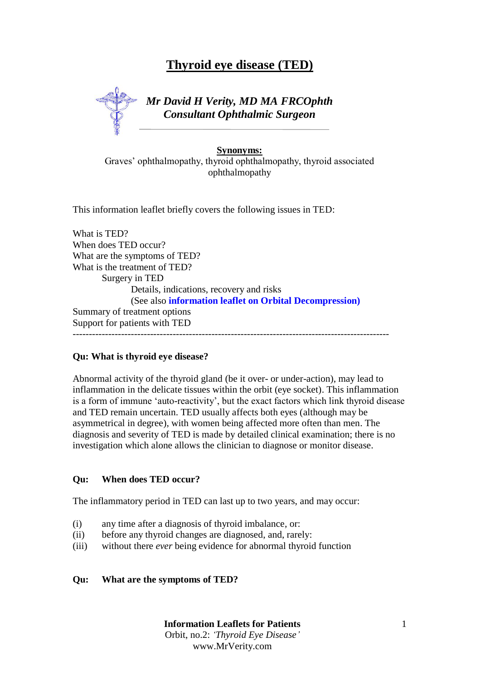# **Thyroid eye disease (TED)**

*Mr David H Verity, MD MA FRCOphth Consultant Ophthalmic Surgeon*

## **Synonyms:**

Graves' ophthalmopathy, thyroid ophthalmopathy, thyroid associated ophthalmopathy

This information leaflet briefly covers the following issues in TED:

What is TED? When does TED occur? What are the symptoms of TED? What is the treatment of TED? Surgery in TED Details, indications, recovery and risks (See also **information leaflet on Orbital Decompression)** Summary of treatment options Support for patients with TED --------------------------------------------------------------------------------------------------

### **Qu: What is thyroid eye disease?**

Abnormal activity of the thyroid gland (be it over- or under-action), may lead to inflammation in the delicate tissues within the orbit (eye socket). This inflammation is a form of immune 'auto-reactivity', but the exact factors which link thyroid disease and TED remain uncertain. TED usually affects both eyes (although may be asymmetrical in degree), with women being affected more often than men. The diagnosis and severity of TED is made by detailed clinical examination; there is no investigation which alone allows the clinician to diagnose or monitor disease.

### **Qu: When does TED occur?**

The inflammatory period in TED can last up to two years, and may occur:

- (i) any time after a diagnosis of thyroid imbalance, or:
- (ii) before any thyroid changes are diagnosed, and, rarely:
- (iii) without there *ever* being evidence for abnormal thyroid function

### **Qu: What are the symptoms of TED?**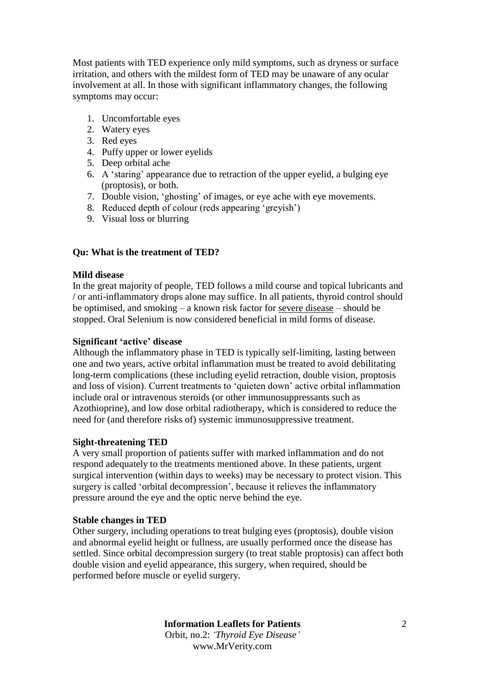Most patients with TED experience only mild symptoms, such as dryness or surface irritation, and others with the mildest form of TED may be unaware of any ocular involvement at all. In those with significant inflammatory changes, the following symptoms may occur:

- 1. Uncomfortable eyes
- 2. Watery eyes
- 3. Red eyes
- 4. Puffy upper or lower eyelids
- 5. Deep orbital ache
- 6. A 'staring' appearance due to retraction of the upper eyelid, a bulging eye (proptosis), or both.
- 7. Double vision, 'ghosting' of images, or eye ache with eye movements.
- 8. Reduced depth of colour (reds appearing 'greyish')
- 9. Visual loss or blurring

## **Qu: What is the treatment of TED?**

### **Mild disease**

In the great majority of people, TED follows a mild course and topical lubricants and / or anti-inflammatory drops alone may suffice. In all patients, thyroid control should be optimised, and smoking – a known risk factor for severe disease – should be stopped. Oral Selenium is now considered beneficial in mild forms of disease.

#### **Significant 'active' disease**

Although the inflammatory phase in TED is typically self-limiting, lasting between one and two years, active orbital inflammation must be treated to avoid debilitating long-term complications (these including eyelid retraction, double vision, proptosis and loss of vision). Current treatments to 'quieten down' active orbital inflammation include oral or intravenous steroids (or other immunosuppressants such as Azothioprine), and low dose orbital radiotherapy, which is considered to reduce the need for (and therefore risks of) systemic immunosuppressive treatment.

### **Sight-threatening TED**

A very small proportion of patients suffer with marked inflammation and do not respond adequately to the treatments mentioned above. In these patients, urgent surgical intervention (within days to weeks) may be necessary to protect vision. This surgery is called 'orbital decompression', because it relieves the inflammatory pressure around the eye and the optic nerve behind the eye.

### **Stable changes in TED**

Other surgery, including operations to treat bulging eyes (proptosis), double vision and abnormal eyelid height or fullness, are usually performed once the disease has settled. Since orbital decompression surgery (to treat stable proptosis) can affect both double vision and eyelid appearance, this surgery, when required, should be performed before muscle or eyelid surgery.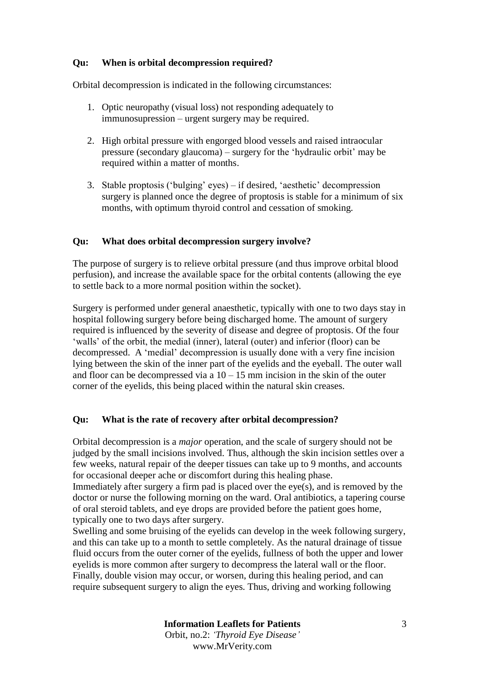## **Qu: When is orbital decompression required?**

Orbital decompression is indicated in the following circumstances:

- 1. Optic neuropathy (visual loss) not responding adequately to immunosupression – urgent surgery may be required.
- 2. High orbital pressure with engorged blood vessels and raised intraocular pressure (secondary glaucoma) – surgery for the 'hydraulic orbit' may be required within a matter of months.
- 3. Stable proptosis ('bulging' eyes) if desired, 'aesthetic' decompression surgery is planned once the degree of proptosis is stable for a minimum of six months, with optimum thyroid control and cessation of smoking.

## **Qu: What does orbital decompression surgery involve?**

The purpose of surgery is to relieve orbital pressure (and thus improve orbital blood perfusion), and increase the available space for the orbital contents (allowing the eye to settle back to a more normal position within the socket).

Surgery is performed under general anaesthetic, typically with one to two days stay in hospital following surgery before being discharged home. The amount of surgery required is influenced by the severity of disease and degree of proptosis. Of the four 'walls' of the orbit, the medial (inner), lateral (outer) and inferior (floor) can be decompressed. A 'medial' decompression is usually done with a very fine incision lying between the skin of the inner part of the eyelids and the eyeball. The outer wall and floor can be decompressed via a  $10 - 15$  mm incision in the skin of the outer corner of the eyelids, this being placed within the natural skin creases.

### **Qu: What is the rate of recovery after orbital decompression?**

Orbital decompression is a *major* operation, and the scale of surgery should not be judged by the small incisions involved. Thus, although the skin incision settles over a few weeks, natural repair of the deeper tissues can take up to 9 months, and accounts for occasional deeper ache or discomfort during this healing phase.

Immediately after surgery a firm pad is placed over the eye(s), and is removed by the doctor or nurse the following morning on the ward. Oral antibiotics, a tapering course of oral steroid tablets, and eye drops are provided before the patient goes home, typically one to two days after surgery.

Swelling and some bruising of the eyelids can develop in the week following surgery, and this can take up to a month to settle completely. As the natural drainage of tissue fluid occurs from the outer corner of the eyelids, fullness of both the upper and lower eyelids is more common after surgery to decompress the lateral wall or the floor. Finally, double vision may occur, or worsen, during this healing period, and can require subsequent surgery to align the eyes. Thus, driving and working following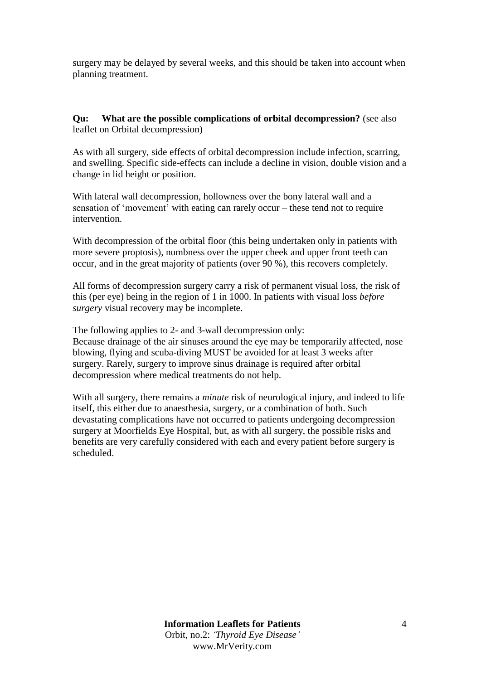surgery may be delayed by several weeks, and this should be taken into account when planning treatment.

## **Qu: What are the possible complications of orbital decompression?** (see also leaflet on Orbital decompression)

As with all surgery, side effects of orbital decompression include infection, scarring, and swelling. Specific side-effects can include a decline in vision, double vision and a change in lid height or position.

With lateral wall decompression, hollowness over the bony lateral wall and a sensation of 'movement' with eating can rarely occur – these tend not to require intervention.

With decompression of the orbital floor (this being undertaken only in patients with more severe proptosis), numbness over the upper cheek and upper front teeth can occur, and in the great majority of patients (over 90 %), this recovers completely.

All forms of decompression surgery carry a risk of permanent visual loss, the risk of this (per eye) being in the region of 1 in 1000. In patients with visual loss *before surgery* visual recovery may be incomplete.

The following applies to 2- and 3-wall decompression only: Because drainage of the air sinuses around the eye may be temporarily affected, nose blowing, flying and scuba-diving MUST be avoided for at least 3 weeks after surgery. Rarely, surgery to improve sinus drainage is required after orbital decompression where medical treatments do not help.

With all surgery, there remains a *minute* risk of neurological injury, and indeed to life itself, this either due to anaesthesia, surgery, or a combination of both. Such devastating complications have not occurred to patients undergoing decompression surgery at Moorfields Eye Hospital, but, as with all surgery, the possible risks and benefits are very carefully considered with each and every patient before surgery is scheduled.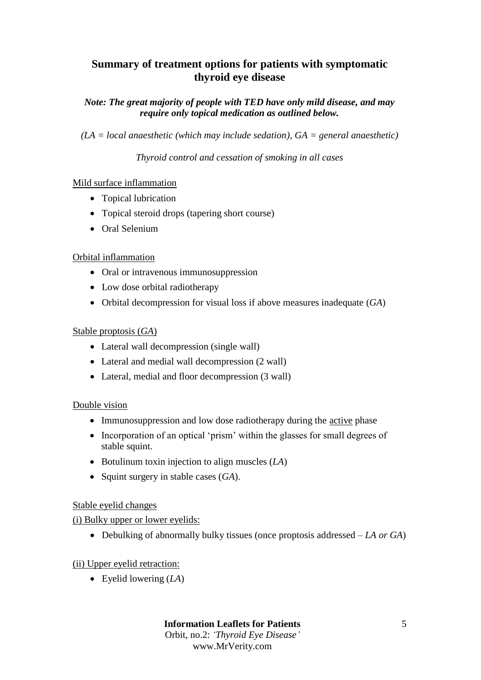## **Summary of treatment options for patients with symptomatic thyroid eye disease**

## *Note: The great majority of people with TED have only mild disease, and may require only topical medication as outlined below.*

*(LA = local anaesthetic (which may include sedation), GA = general anaesthetic)*

*Thyroid control and cessation of smoking in all cases*

## Mild surface inflammation

- Topical lubrication
- Topical steroid drops (tapering short course)
- Oral Selenium

## Orbital inflammation

- Oral or intravenous immunosuppression
- Low dose orbital radiotherapy
- Orbital decompression for visual loss if above measures inadequate (*GA*)

## Stable proptosis (*GA*)

- Lateral wall decompression (single wall)
- Lateral and medial wall decompression (2 wall)
- Lateral, medial and floor decompression (3 wall)

## Double vision

- Immunosuppression and low dose radiotherapy during the active phase
- Incorporation of an optical 'prism' within the glasses for small degrees of stable squint.
- Botulinum toxin injection to align muscles (*LA*)
- Squint surgery in stable cases (*GA*).

## Stable eyelid changes

## (i) Bulky upper or lower eyelids:

Debulking of abnormally bulky tissues (once proptosis addressed – *LA or GA*)

## (ii) Upper eyelid retraction:

Eyelid lowering (*LA*)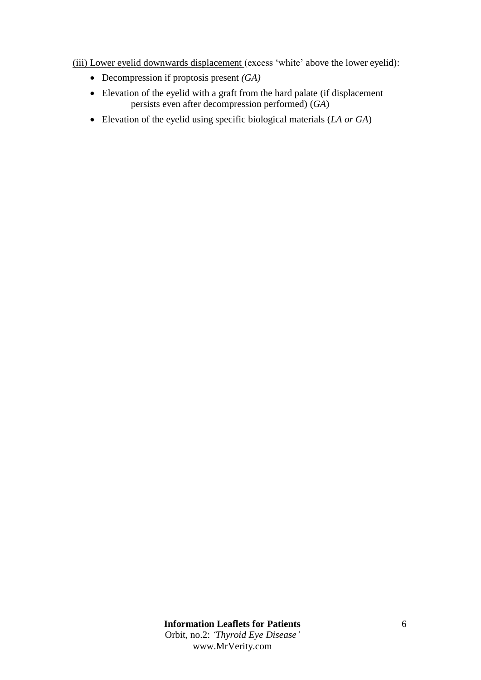(iii) Lower eyelid downwards displacement (excess 'white' above the lower eyelid):

- Decompression if proptosis present *(GA)*
- Elevation of the eyelid with a graft from the hard palate (if displacement persists even after decompression performed) (*GA*)
- Elevation of the eyelid using specific biological materials (*LA or GA*)